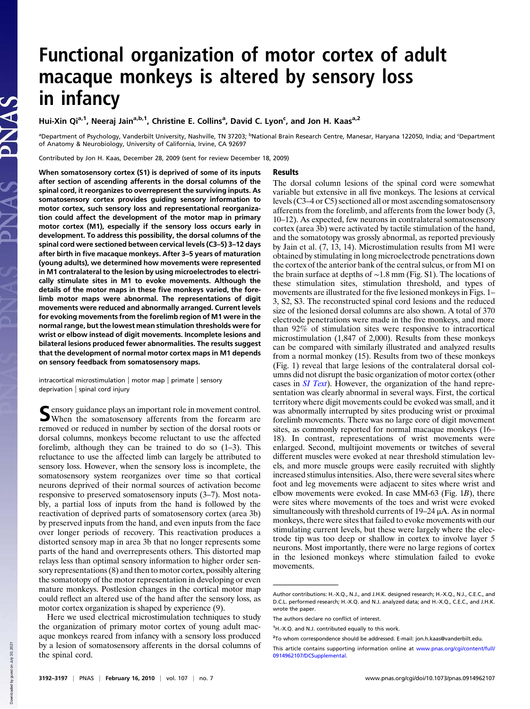## Functional organization of motor cortex of adult macaque monkeys is altered by sensory loss in infancy

Hui-Xin Qi<sup>a,1</sup>, Neeraj Jain<sup>a,b,1</sup>, Christine E. Collins<sup>a</sup>, David C. Lyon<sup>c</sup>, and Jon H. Kaas<sup>a,2</sup>

<sup>a</sup>Department of Psychology, Vanderbilt University, Nashville, TN 37203; <sup>b</sup>National Brain Research Centre, Manesar, Haryana 122050, India; and <sup>c</sup>Department of Anatomy & Neurobiology, University of California, Irvine, CA 92697

Contributed by Jon H. Kaas, December 28, 2009 (sent for review December 18, 2009)

## Results

When somatosensory cortex (S1) is deprived of some of its inputs after section of ascending afferents in the dorsal columns of the spinal cord, it reorganizes to overrepresent the surviving inputs. As somatosensory cortex provides guiding sensory information to motor cortex, such sensory loss and representational reorganization could affect the development of the motor map in primary motor cortex (M1), especially if the sensory loss occurs early in development. To address this possibility, the dorsal columns of the spinal cord were sectioned between cervical levels (C3–5) 3–12 days after birth in five macaque monkeys. After 3–5 years of maturation (young adults), we determined how movements were represented in M1 contralateral to the lesion by using microelectrodes to electrically stimulate sites in M1 to evoke movements. Although the details of the motor maps in these five monkeys varied, the forelimb motor maps were abnormal. The representations of digit movements were reduced and abnormally arranged. Current levels for evoking movements from the forelimb region of M1 were in the normal range, but the lowest mean stimulation thresholds were for wrist or elbow instead of digit movements. Incomplete lesions and bilateral lesions produced fewer abnormalities. The results suggest that the development of normal motor cortex maps in M1 depends on sensory feedback from somatosensory maps.

intracortical microstimulation | motor map | primate | sensory deprivation | spinal cord injury

S ensory guidance plays an important role in movement control.<br>When the somatosensory afferents from the forearm are When the somatosensory afferents from the forearm are removed or reduced in number by section of the dorsal roots or dorsal columns, monkeys become reluctant to use the affected forelimb, although they can be trained to do so (1–3). This reluctance to use the affected limb can largely be attributed to sensory loss. However, when the sensory loss is incomplete, the somatosensory system reorganizes over time so that cortical neurons deprived of their normal sources of activation become responsive to preserved somatosensory inputs (3–7). Most notably, a partial loss of inputs from the hand is followed by the reactivation of deprived parts of somatosensory cortex (area 3b) by preserved inputs from the hand, and even inputs from the face over longer periods of recovery. This reactivation produces a distorted sensory map in area 3b that no longer represents some parts of the hand and overrepresents others. This distorted map relays less than optimal sensory information to higher order sensory representations (8) and then to motor cortex, possibly altering the somatotopy of the motor representation in developing or even mature monkeys. Postlesion changes in the cortical motor map could reflect an altered use of the hand after the sensory loss, as motor cortex organization is shaped by experience (9).

Here we used electrical microstimulation techniques to study the organization of primary motor cortex of young adult macaque monkeys reared from infancy with a sensory loss produced by a lesion of somatosensory afferents in the dorsal columns of the spinal cord.

The dorsal column lesions of the spinal cord were somewhat variable but extensive in all five monkeys. The lesions at cervical levels (C3–4 or C5) sectioned all or most ascending somatosensory afferents from the forelimb, and afferents from the lower body (3, 10–12). As expected, few neurons in contralateral somatosensory cortex (area 3b) were activated by tactile stimulation of the hand, and the somatotopy was grossly abnormal, as reported previously by Jain et al. (7, 13, 14). Microstimulation results from M1 were obtained by stimulating in long microelectrode penetrations down the cortex of the anterior bank of the central sulcus, or from M1 on the brain surface at depths of ∼1.8 mm (Fig. S1). The locations of these stimulation sites, stimulation threshold, and types of movements are illustrated for the five lesioned monkeys in Figs. 1– 3, S2, S3. The reconstructed spinal cord lesions and the reduced size of the lesioned dorsal columns are also shown. A total of 370 electrode penetrations were made in the five monkeys, and more than 92% of stimulation sites were responsive to intracortical microstimulation (1,847 of 2,000). Results from these monkeys can be compared with similarly illustrated and analyzed results from a normal monkey (15). Results from two of these monkeys (Fig. 1) reveal that large lesions of the contralateral dorsal columns did not disrupt the basic organization of motor cortex (other cases in SI Text). However, the organization of the hand representation was clearly abnormal in several ways. First, the cortical territory where digit movements could be evoked was small, and it was abnormally interrupted by sites producing wrist or proximal forelimb movements. There was no large core of digit movement sites, as commonly reported for normal macaque monkeys (16– 18). In contrast, representations of wrist movements were enlarged. Second, multijoint movements or twitches of several different muscles were evoked at near threshold stimulation levels, and more muscle groups were easily recruited with slightly increased stimulus intensities. Also, there were several sites where foot and leg movements were adjacent to sites where wrist and elbow movements were evoked. In case MM-63 (Fig. 1B), there were sites where movements of the toes and wrist were evoked simultaneously with threshold currents of 19–24 μA. As in normal monkeys, there were sites that failed to evoke movements with our stimulating current levels, but these were largely where the electrode tip was too deep or shallow in cortex to involve layer 5 neurons. Most importantly, there were no large regions of cortex in the lesioned monkeys where stimulation failed to evoke movements.

**Down** 

Author contributions: H.-X.Q., N.J., and J.H.K. designed research; H.-X.Q., N.J., C.E.C., and D.C.L. performed research; H.-X.Q. and N.J. analyzed data; and H.-X.Q., C.E.C., and J.H.K. wrote the paper.

The authors declare no conflict of interest.

<sup>&</sup>lt;sup>1</sup>H.-X.Q. and N.J. contributed equally to this work.

<sup>&</sup>lt;sup>2</sup>To whom correspondence should be addressed. E-mail: jon.h.kaas@vanderbilt.edu.

This article contains supporting information online at www.pnas.org/cgi/content/full/ 0914962107/DCSupplemental.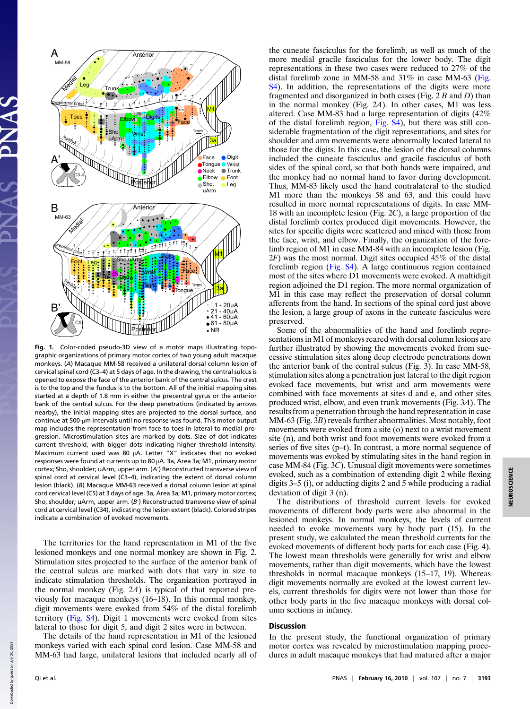

Fig. 1. Color-coded pseudo-3D view of a motor maps illustrating topographic organizations of primary motor cortex of two young adult macaque monkeys. (A) Macaque MM-58 received a unilateral dorsal column lesion of cervical spinal cord (C3–4) at 5 days of age. In the drawing, the central sulcus is opened to expose the face of the anterior bank of the central sulcus. The crest is to the top and the fundus is to the bottom. All of the initial mapping sites started at a depth of 1.8 mm in either the precentral gyrus or the anterior bank of the central sulcus. For the deep penetrations (indicated by arrows nearby), the initial mapping sites are projected to the dorsal surface, and continue at 500-μm intervals until no response was found. This motor output map includes the representation from face to toes in lateral to medial progression. Microstimulation sites are marked by dots. Size of dot indicates current threshold, with bigger dots indicating higher threshold intensity. Maximum current used was 80 μA. Letter "X" indicates that no evoked responses were found at currents up to 80 μA. 3a, Area 3a; M1, primary motor cortex; Sho, shoulder; uArm, upper arm. (A′) Reconstructed transverse view of spinal cord at cervical level (C3–4), indicating the extent of dorsal column lesion (black). (B) Macaque MM-63 received a dorsal column lesion at spinal cord cervical level (C5) at 3 days of age. 3a, Area 3a; M1, primary motor cortex; Sho, shoulder; uArm, upper arm. (B') Reconstructed transverse view of spinal cord at cervical level (C34), indicating the lesion extent (black). Colored stripes indicate a combination of evoked movements.

The territories for the hand representation in M1 of the five lesioned monkeys and one normal monkey are shown in Fig. 2. Stimulation sites projected to the surface of the anterior bank of the central sulcus are marked with dots that vary in size to indicate stimulation thresholds. The organization portrayed in the normal monkey (Fig. 2A) is typical of that reported previously for macaque monkeys (16–18). In this normal monkey, digit movements were evoked from 54% of the distal forelimb territory (Fig. S4). Digit 1 movements were evoked from sites lateral to those for digit 5, and digit 2 sites were in between.

The details of the hand representation in M1 of the lesioned monkeys varied with each spinal cord lesion. Case MM-58 and MM-63 had large, unilateral lesions that included nearly all of the cuneate fasciculus for the forelimb, as well as much of the more medial gracile fasciculus for the lower body. The digit representations in these two cases were reduced to 27% of the distal forelimb zone in MM-58 and 31% in case MM-63 (Fig. S4). In addition, the representations of the digits were more fragmented and disorganized in both cases (Fig.  $2 B$  and  $D$ ) than in the normal monkey (Fig. 2A). In other cases, M1 was less altered. Case MM-83 had a large representation of digits (42% of the distal forelimb region, Fig. S4), but there was still considerable fragmentation of the digit representations, and sites for shoulder and arm movements were abnormally located lateral to those for the digits. In this case, the lesion of the dorsal columns included the cuneate fasciculus and gracile fasciculus of both sides of the spinal cord, so that both hands were impaired, and the monkey had no normal hand to favor during development. Thus, MM-83 likely used the hand contralateral to the studied M1 more than the monkeys 58 and 63, and this could have resulted in more normal representations of digits. In case MM-18 with an incomplete lesion (Fig. 2C), a large proportion of the distal forelimb cortex produced digit movements. However, the sites for specific digits were scattered and mixed with those from the face, wrist, and elbow. Finally, the organization of the forelimb region of M1 in case MM-84 with an incomplete lesion (Fig.  $2F$ ) was the most normal. Digit sites occupied  $45\%$  of the distal forelimb region (Fig. S4). A large continuous region contained most of the sites where D1 movements were evoked. A multidigit region adjoined the D1 region. The more normal organization of M1 in this case may reflect the preservation of dorsal column afferents from the hand. In sections of the spinal cord just above the lesion, a large group of axons in the cuneate fasciculus were preserved.

Some of the abnormalities of the hand and forelimb representations in M1 of monkeys reared with dorsal column lesions are further illustrated by showing the movements evoked from successive stimulation sites along deep electrode penetrations down the anterior bank of the central sulcus (Fig. 3). In case MM-58, stimulation sites along a penetration just lateral to the digit region evoked face movements, but wrist and arm movements were combined with face movements at sites d and e, and other sites produced wrist, elbow, and even trunk movements (Fig. 3A). The results from a penetration through the hand representation in case MM-63 (Fig. 3B) reveals further abnormalities. Most notably, foot movements were evoked from a site (o) next to a wrist movement site (n), and both wrist and foot movements were evoked from a series of five sites (p–t). In contrast, a more normal sequence of movements was evoked by stimulating sites in the hand region in case MM-84 (Fig. 3C). Unusual digit movements were sometimes evoked, such as a combination of extending digit 2 while flexing digits 3–5 (i), or adducting digits 2 and 5 while producing a radial deviation of digit 3 (n).

The distributions of threshold current levels for evoked movements of different body parts were also abnormal in the lesioned monkeys. In normal monkeys, the levels of current needed to evoke movements vary by body part (15). In the present study, we calculated the mean threshold currents for the evoked movements of different body parts for each case (Fig. 4). The lowest mean thresholds were generally for wrist and elbow movements, rather than digit movements, which have the lowest thresholds in normal macaque monkeys (15–17, 19). Whereas digit movements normally are evoked at the lowest current levels, current thresholds for digits were not lower than those for other body parts in the five macaque monkeys with dorsal column sections in infancy.

## Discussion

In the present study, the functional organization of primary motor cortex was revealed by microstimulation mapping procedures in adult macaque monkeys that had matured after a major

hown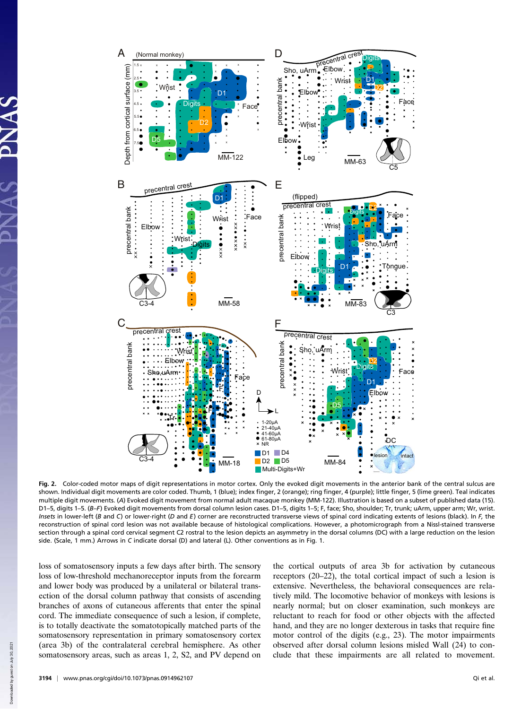

Fig. 2. Color-coded motor maps of digit representations in motor cortex. Only the evoked digit movements in the anterior bank of the central sulcus are shown. Individual digit movements are color coded. Thumb, 1 (blue); index finger, 2 (orange); ring finger, 4 (purple); little finger, 5 (lime green). Teal indicates multiple digit movements. (A) Evoked digit movement from normal adult macaque monkey (MM-122). Illustration is based on a subset of published data (15). D1–5, digits 1–5. (B–F) Evoked digit movements from dorsal column lesion cases. D1–5, digits 1–5; F, face; Sho, shoulder; Tr, trunk; uArm, upper arm; Wr, wrist. Insets in lower-left (B and C) or lower-right (D and E) corner are reconstructed transverse views of spinal cord indicating extents of lesions (black). In  $F$ , the reconstruction of spinal cord lesion was not available because of histological complications. However, a photomicrograph from a Nissl-stained transverse section through a spinal cord cervical segment C2 rostral to the lesion depicts an asymmetry in the dorsal columns (DC) with a large reduction on the lesion side. (Scale, 1 mm.) Arrows in C indicate dorsal (D) and lateral (L). Other conventions as in Fig. 1.

loss of somatosensory inputs a few days after birth. The sensory loss of low-threshold mechanoreceptor inputs from the forearm and lower body was produced by a unilateral or bilateral transection of the dorsal column pathway that consists of ascending branches of axons of cutaneous afferents that enter the spinal cord. The immediate consequence of such a lesion, if complete, is to totally deactivate the somatotopically matched parts of the somatosensory representation in primary somatosensory cortex (area 3b) of the contralateral cerebral hemisphere. As other somatosensory areas, such as areas 1, 2, S2, and PV depend on the cortical outputs of area 3b for activation by cutaneous receptors (20–22), the total cortical impact of such a lesion is extensive. Nevertheless, the behavioral consequences are relatively mild. The locomotive behavior of monkeys with lesions is nearly normal; but on closer examination, such monkeys are reluctant to reach for food or other objects with the affected hand, and they are no longer dexterous in tasks that require fine motor control of the digits (e.g., 23). The motor impairments observed after dorsal column lesions misled Wall (24) to conclude that these impairments are all related to movement.

Down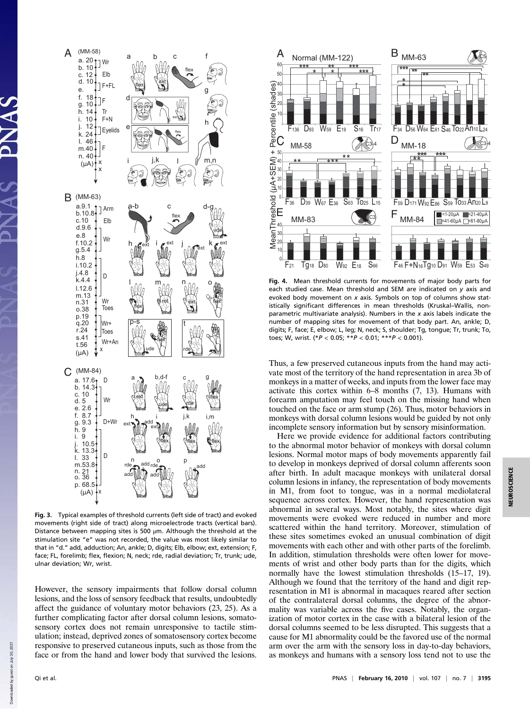

Fig. 3. Typical examples of threshold currents (left side of tract) and evoked movements (right side of tract) along microelectrode tracts (vertical bars). Distance between mapping sites is 500 μm. Although the threshold at the stimulation site "e" was not recorded, the value was most likely similar to that in "d." add, adduction; An, ankle; D, digits; Elb, elbow; ext, extension; F, face; FL, forelimb; flex, flexion; N, neck; rde, radial deviation; Tr, trunk; ude, ulnar deviation; Wr, wrist.

However, the sensory impairments that follow dorsal column lesions, and the loss of sensory feedback that results, undoubtedly affect the guidance of voluntary motor behaviors (23, 25). As a further complicating factor after dorsal column lesions, somatosensory cortex does not remain unresponsive to tactile stimulation; instead, deprived zones of somatosensory cortex become responsive to preserved cutaneous inputs, such as those from the face or from the hand and lower body that survived the lesions.



Fig. 4. Mean threshold currents for movements of major body parts for each studied case. Mean threshold and SEM are indicated on y axis and evoked body movement on x axis. Symbols on top of columns show statistically significant differences in mean thresholds (Kruskal–Wallis, nonparametric multivariate analysis). Numbers in the  $x$  axis labels indicate the number of mapping sites for movement of that body part. An, ankle; D, digits; F, face; E, elbow; L, leg; N, neck; S, shoulder; Tg, tongue; Tr, trunk; To, toes; W, wrist.  $(*P < 0.05; **P < 0.01; **P < 0.001)$ .

Thus, a few preserved cutaneous inputs from the hand may activate most of the territory of the hand representation in area 3b of monkeys in a matter of weeks, and inputs from the lower face may activate this cortex within 6–8 months (7, 13). Humans with forearm amputation may feel touch on the missing hand when touched on the face or arm stump (26). Thus, motor behaviors in monkeys with dorsal column lesions would be guided by not only incomplete sensory information but by sensory misinformation.

Here we provide evidence for additional factors contributing to the abnormal motor behavior of monkeys with dorsal column lesions. Normal motor maps of body movements apparently fail to develop in monkeys deprived of dorsal column afferents soon after birth. In adult macaque monkeys with unilateral dorsal column lesions in infancy, the representation of body movements in M1, from foot to tongue, was in a normal mediolateral sequence across cortex. However, the hand representation was abnormal in several ways. Most notably, the sites where digit movements were evoked were reduced in number and more scattered within the hand territory. Moreover, stimulation of these sites sometimes evoked an unusual combination of digit movements with each other and with other parts of the forelimb. In addition, stimulation thresholds were often lower for movements of wrist and other body parts than for the digits, which normally have the lowest stimulation thresholds (15–17, 19). Although we found that the territory of the hand and digit representation in M1 is abnormal in macaques reared after section of the contralateral dorsal columns, the degree of the abnormality was variable across the five cases. Notably, the organization of motor cortex in the case with a bilateral lesion of the dorsal columns seemed to be less disrupted. This suggests that a cause for M1 abnormality could be the favored use of the normal arm over the arm with the sensory loss in day-to-day behaviors, as monkeys and humans with a sensory loss tend not to use the

Down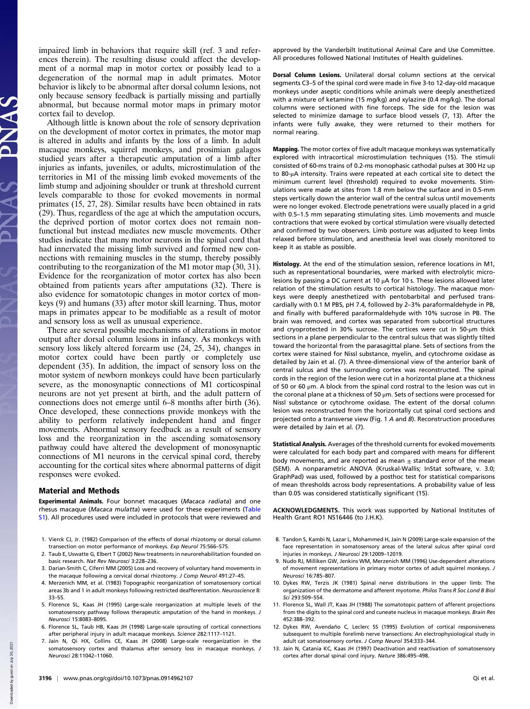impaired limb in behaviors that require skill (ref. 3 and references therein). The resulting disuse could affect the development of a normal map in motor cortex or possibly lead to a degeneration of the normal map in adult primates. Motor behavior is likely to be abnormal after dorsal column lesions, not only because sensory feedback is partially missing and partially abnormal, but because normal motor maps in primary motor cortex fail to develop.

Although little is known about the role of sensory deprivation on the development of motor cortex in primates, the motor map is altered in adults and infants by the loss of a limb. In adult macaque monkeys, squirrel monkeys, and prosimian galagos studied years after a therapeutic amputation of a limb after injuries as infants, juveniles, or adults, microstimulation of the territories in M1 of the missing limb evoked movements of the limb stump and adjoining shoulder or trunk at threshold current levels comparable to those for evoked movements in normal primates (15, 27, 28). Similar results have been obtained in rats  $(29)$ . Thus, regardless of the age at which the amputation occurs, the deprived portion of motor cortex does not remain nonfunctional but instead mediates new muscle movements. Other studies indicate that many motor neurons in the spinal cord that had innervated the missing limb survived and formed new connections with remaining muscles in the stump, thereby possibly contributing to the reorganization of the M1 motor map (30, 31). Evidence for the reorganization of motor cortex has also been obtained from patients years after amputations (32). There is also evidence for somatotopic changes in motor cortex of monkeys (9) and humans (33) after motor skill learning. Thus, motor maps in primates appear to be modifiable as a result of motor and sensory loss as well as unusual experience.

There are several possible mechanisms of alterations in motor output after dorsal column lesions in infancy. As monkeys with sensory loss likely altered forearm use (24, 25, 34), changes in motor cortex could have been partly or completely use dependent (35). In addition, the impact of sensory loss on the motor system of newborn monkeys could have been particularly severe, as the monosynaptic connections of M1 corticospinal neurons are not yet present at birth, and the adult pattern of connections does not emerge until 6–8 months after birth (36). Once developed, these connections provide monkeys with the ability to perform relatively independent hand and finger movements. Abnormal sensory feedback as a result of sensory loss and the reorganization in the ascending somatosensory pathway could have altered the development of monosynaptic connections of M1 neurons in the cervical spinal cord, thereby accounting for the cortical sites where abnormal patterns of digit responses were evoked.

## Material and Methods

Experimental Animals. Four bonnet macaques (Macaca radiata) and one rhesus macaque (Macaca mulatta) were used for these experiments (Table S1). All procedures used were included in protocols that were reviewed and

- 1. Vierck CJ, Jr. (1982) Comparison of the effects of dorsal rhizotomy or dorsal column transection on motor performance of monkeys. Exp Neurol 75:566–575.
- 2. Taub E, Uswatte G, Elbert T (2002) New treatments in neurorehabilitation founded on basic research. Nat Rev Neurosci 3:228–236.
- 3. Darian-Smith C, Ciferri MM (2005) Loss and recovery of voluntary hand movements in the macaque following a cervical dorsal rhizotomy. J Comp Neurol 491:27–45.
- 4. Merzenich MM, et al. (1983) Topographic reorganization of somatosensory cortical areas 3b and 1 in adult monkeys following restricted deafferentation. Neuroscience 8: 33–55.
- 5. Florence SL, Kaas JH (1995) Large-scale reorganization at multiple levels of the somatosensory pathway follows therapeutic amputation of the hand in monkeys. J Neurosci 15:8083–8095.
- 6. Florence SL, Taub HB, Kaas JH (1998) Large-scale sprouting of cortical connections after peripheral injury in adult macaque monkeys. Science 282:1117–1121.
- 7. Jain N, Qi HX, Collins CE, Kaas JH (2008) Large-scale reorganization in the somatosensory cortex and thalamus after sensory loss in macaque monkeys. J Neurosci 28:11042–11060.

Dorsal Column Lesions. Unilateral dorsal column sections at the cervical segments C3–5 of the spinal cord were made in five 3-to 12-day-old macaque monkeys under aseptic conditions while animals were deeply anesthetized with a mixture of ketamine (15 mg/kg) and xylazine (0.4 mg/kg). The dorsal columns were sectioned with fine forceps. The side for the lesion was selected to minimize damage to surface blood vessels (7, 13). After the infants were fully awake, they were returned to their mothers for normal rearing.

Mapping. The motor cortex of five adult macaque monkeys was systematically explored with intracortical microstimulation techniques (15). The stimuli consisted of 60-ms trains of 0.2-ms monophasic cathodal pulses at 300 Hz up to 80-μA intensity. Trains were repeated at each cortical site to detect the minimum current level (threshold) required to evoke movements. Stimulations were made at sites from 1.8 mm below the surface and in 0.5-mm steps vertically down the anterior wall of the central sulcus until movements were no longer evoked. Electrode penetrations were usually placed in a grid with 0.5–1.5 mm separating stimulating sites. Limb movements and muscle contractions that were evoked by cortical stimulation were visually detected and confirmed by two observers. Limb posture was adjusted to keep limbs relaxed before stimulation, and anesthesia level was closely monitored to keep it as stable as possible.

Histology. At the end of the stimulation session, reference locations in M1, such as representational boundaries, were marked with electrolytic microlesions by passing a DC current at 10 μA for 10 s. These lesions allowed later relation of the stimulation results to cortical histology. The macaque monkeys were deeply anesthetized with pentobarbital and perfused transcardially with 0.1 M PBS, pH 7.4, followed by 2–3% paraformaldehyde in PB, and finally with buffered paraformaldehyde with 10% sucrose in PB. The brain was removed, and cortex was separated from subcortical structures and cryoprotected in 30% sucrose. The cortices were cut in 50-μm thick sections in a plane perpendicular to the central sulcus that was slightly tilted toward the horizontal from the parasagittal plane. Sets of sections from the cortex were stained for Nissl substance, myelin, and cytochrome oxidase as detailed by Jain et al. (7). A three-dimensional view of the anterior bank of central sulcus and the surrounding cortex was reconstructed. The spinal cords in the region of the lesion were cut in a horizontal plane at a thickness of 50 or 60  $\mu$ m. A block from the spinal cord rostral to the lesion was cut in the coronal plane at a thickness of 50 μm. Sets of sections were processed for Nissl substance or cytochrome oxidase. The extent of the dorsal column lesion was reconstructed from the horizontally cut spinal cord sections and projected onto a transverse view (Fig. 1 A and B). Reconstruction procedures were detailed by Jain et al. (7).

Statistical Analysis. Averages of the threshold currents for evoked movements were calculated for each body part and compared with means for different body movements, and are reported as mean  $\pm$  standard error of the mean (SEM). A nonparametric ANOVA (Kruskal-Wallis; InStat software, v. 3.0; GraphPad) was used, followed by a posthoc test for statistical comparisons of mean thresholds across body representations. A probability value of less than 0.05 was considered statistically significant (15).

ACKNOWLEDGMENTS. This work was supported by National Institutes of Health Grant RO1 NS16446 (to J.H.K).

- 8. Tandon S, Kambi N, Lazar L, Mohammed H, Jain N (2009) Large-scale expansion of the face representation in somatosensory areas of the lateral sulcus after spinal cord injuries in monkeys. J Neurosci 29:12009–12019.
- 9. Nudo RJ, Milliken GW, Jenkins WM, Merzenich MM (1996) Use-dependent alterations of movement representations in primary motor cortex of adult squirrel monkeys. J Neurosci 16:785–807.
- 10. Dykes RW, Terzis JK (1981) Spinal nerve distributions in the upper limb: The organization of the dermatome and afferent myotome. Philos Trans R Soc Lond B Biol Sci 293:509–554.
- 11. Florence SL, Wall JT, Kaas JH (1988) The somatotopic pattern of afferent projections from the digits to the spinal cord and cuneate nucleus in macaque monkeys. Brain Res 452:388–392.
- 12. Dykes RW, Avendaño C, Leclerc SS (1995) Evolution of cortical responsiveness subsequent to multiple forelimb nerve transections: An electrophysiological study in adult cat somatosensory cortex. J Comp Neurol 354:333–344.
- 13. Jain N, Catania KC, Kaas JH (1997) Deactivation and reactivation of somatosensory cortex after dorsal spinal cord injury. Nature 386:495–498.